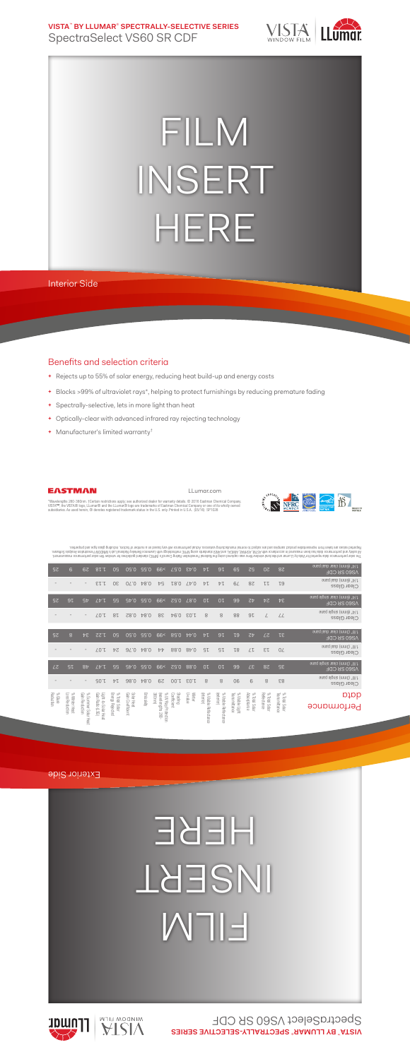**VISTA**™  **BY LLUMAR**®  **SPECTRALLY-SELECTIVE SERIES** SpectraSelect VS60 SR CDF



## FILM INSERT HERE

Interior Side

## Benefits and selection criteria

- **+** Rejects up to 55% of solar energy, reducing heat build-up and energy costs
- **+** Blocks >99% of ultraviolet rays\*, helping to protect furnishings by reducing premature fading

LLumar.com

- **+** Spectrally-selective, lets in more light than heat
- **+** Optically-clear with advanced infrared ray rejecting technology
- **+** Manufacturer's limited warranty†



EASTMAN

"Wavelengths 280-380nm. †Certain restrictions apply; see authorized dealer for warranty details. © 2016 Eastman Chemical Company.<br>VISTA™, the VISTA® logo, LLumar® and the LLumar® logo are trademarks of Eastman Chemical Com